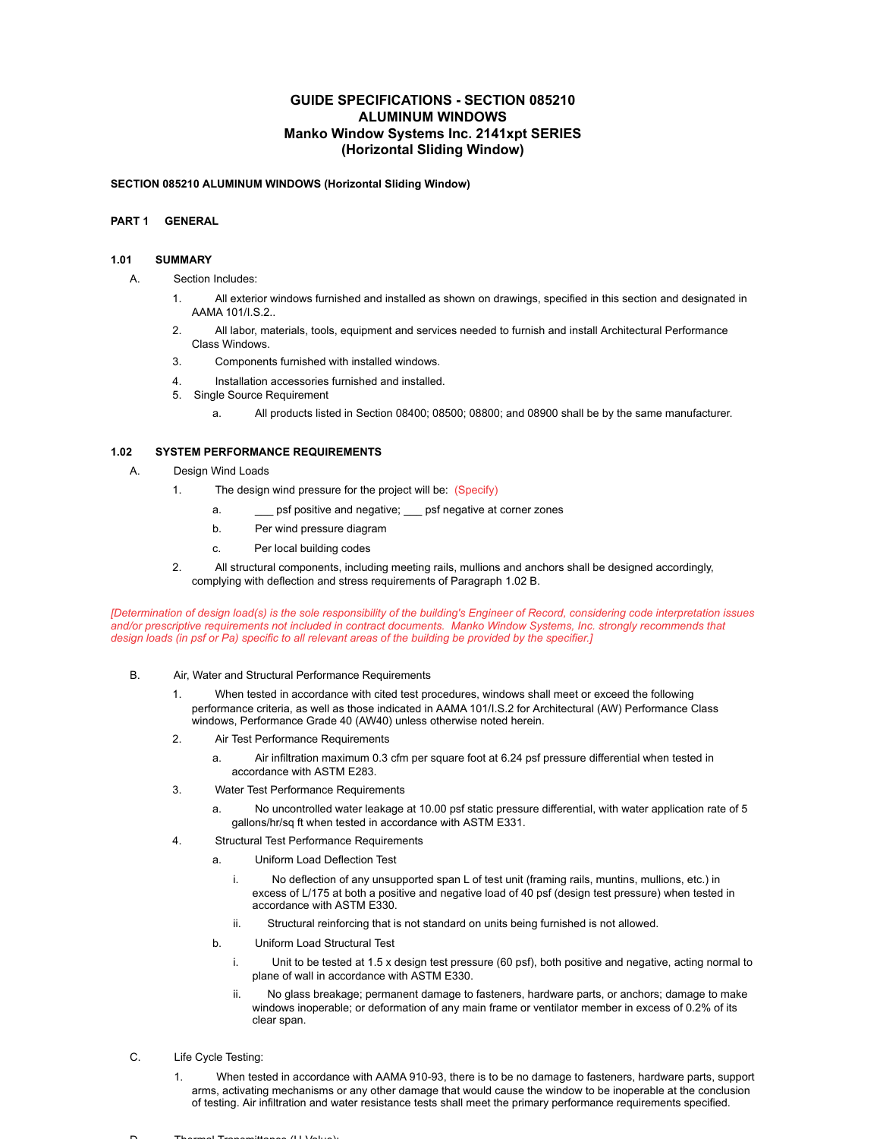## **GUIDE SPECIFICATIONS - SECTION 085210 ALUMINUM WINDOWS Manko Window Systems Inc. 2141xpt SERIES (Horizontal Sliding Window)**

### **SECTION 085210 ALUMINUM WINDOWS (Horizontal Sliding Window)**

## **PART 1 GENERAL**

### **1.01 SUMMARY**

- A. Section Includes:
	- 1. All exterior windows furnished and installed as shown on drawings, specified in this section and designated in AAMA 101/I.S.2..
	- 2. All labor, materials, tools, equipment and services needed to furnish and install Architectural Performance Class Windows.
	- 3. Components furnished with installed windows.
	- 4. Installation accessories furnished and installed.
	- 5. Single Source Requirement
		- a. All products listed in Section 08400; 08500; 08800; and 08900 shall be by the same manufacturer.

### **1.02 SYSTEM PERFORMANCE REQUIREMENTS**

- A. Design Wind Loads
	- 1. The design wind pressure for the project will be: (Specify)
		- a. \_\_\_\_ psf positive and negative; \_\_\_ psf negative at corner zones
		- b. Per wind pressure diagram
		- c. Per local building codes
	- 2. All structural components, including meeting rails, mullions and anchors shall be designed accordingly, complying with deflection and stress requirements of Paragraph 1.02 B.

*[Determination of design load(s) is the sole responsibility of the building's Engineer of Record, considering code interpretation issues and/or prescriptive requirements not included in contract documents. Manko Window Systems, Inc. strongly recommends that design loads (in psf or Pa) specific to all relevant areas of the building be provided by the specifier.]*

- B. Air, Water and Structural Performance Requirements
	- 1. When tested in accordance with cited test procedures, windows shall meet or exceed the following performance criteria, as well as those indicated in AAMA 101/I.S.2 for Architectural (AW) Performance Class windows, Performance Grade 40 (AW40) unless otherwise noted herein.
	- 2. Air Test Performance Requirements
		- a. Air infiltration maximum 0.3 cfm per square foot at 6.24 psf pressure differential when tested in accordance with ASTM E283.
	- 3. Water Test Performance Requirements
		- a. No uncontrolled water leakage at 10.00 psf static pressure differential, with water application rate of 5 gallons/hr/sq ft when tested in accordance with ASTM E331.
	- 4. Structural Test Performance Requirements
		- a. Uniform Load Deflection Test
			- i. No deflection of any unsupported span L of test unit (framing rails, muntins, mullions, etc.) in excess of L/175 at both a positive and negative load of 40 psf (design test pressure) when tested in accordance with ASTM E330.
			- ii. Structural reinforcing that is not standard on units being furnished is not allowed.
		- b. Uniform Load Structural Test
			- i. Unit to be tested at 1.5 x design test pressure (60 psf), both positive and negative, acting normal to plane of wall in accordance with ASTM E330.
			- ii. No glass breakage; permanent damage to fasteners, hardware parts, or anchors; damage to make windows inoperable; or deformation of any main frame or ventilator member in excess of 0.2% of its clear span.
- C. Life Cycle Testing:
	- 1. When tested in accordance with AAMA 910-93, there is to be no damage to fasteners, hardware parts, support arms, activating mechanisms or any other damage that would cause the window to be inoperable at the conclusion of testing. Air infiltration and water resistance tests shall meet the primary performance requirements specified.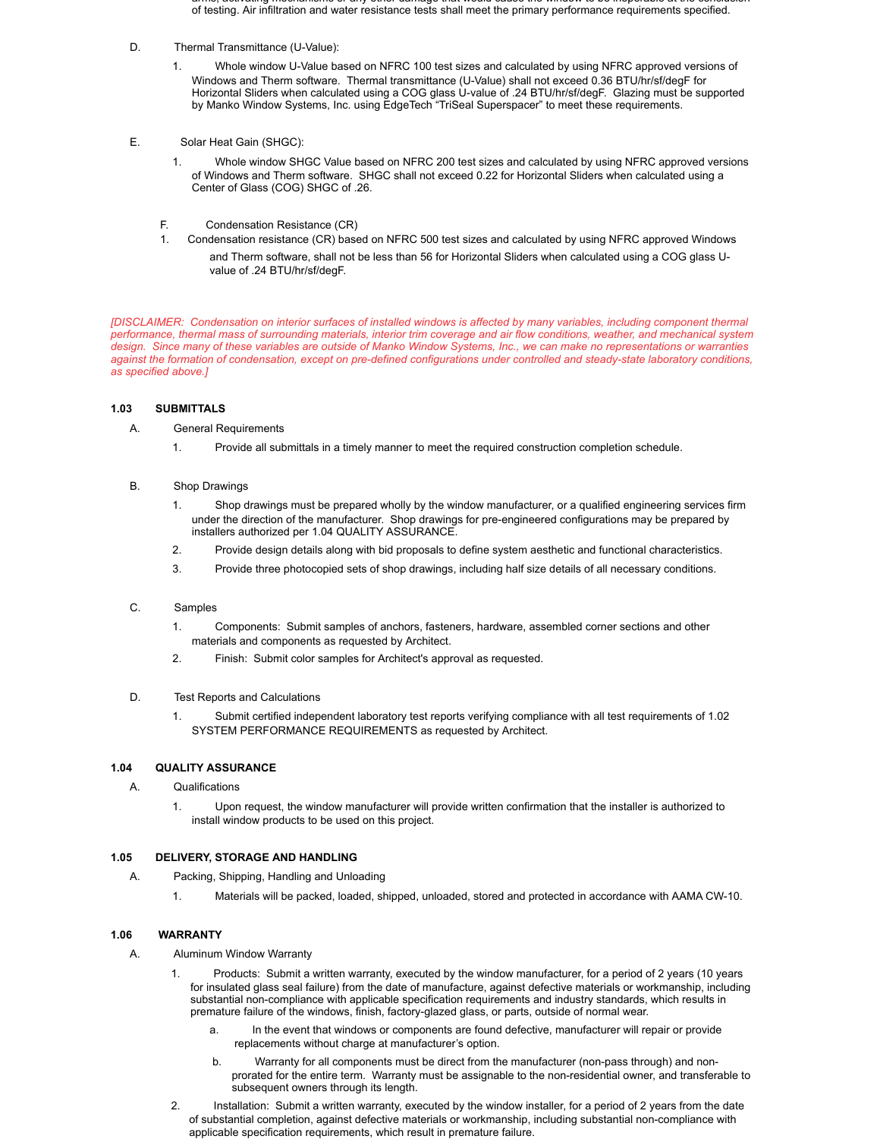- arms, activating mechanisms or any other damage that would cause the window to be inoperable at the conclusion of testing. Air infiltration and water resistance tests shall meet the primary performance requirements specified.
- D. Thermal Transmittance (U-Value):
	- 1. Whole window U-Value based on NFRC 100 test sizes and calculated by using NFRC approved versions of Windows and Therm software. Thermal transmittance (U-Value) shall not exceed 0.36 BTU/hr/sf/degF for Horizontal Sliders when calculated using a COG glass U-value of .24 BTU/hr/sf/degF. Glazing must be supported by Manko Window Systems, Inc. using EdgeTech "TriSeal Superspacer" to meet these requirements.
- E. Solar Heat Gain (SHGC):
	- 1. Whole window SHGC Value based on NFRC 200 test sizes and calculated by using NFRC approved versions of Windows and Therm software. SHGC shall not exceed 0.22 for Horizontal Sliders when calculated using a Center of Glass (COG) SHGC of .26.
	- F. Condensation Resistance (CR)
	- 1. Condensation resistance (CR) based on NFRC 500 test sizes and calculated by using NFRC approved Windows
		- and Therm software, shall not be less than 56 for Horizontal Sliders when calculated using a COG glass Uvalue of .24 BTU/hr/sf/degF.

*[DISCLAIMER: Condensation on interior surfaces of installed windows is affected by many variables, including component thermal performance, thermal mass of surrounding materials, interior trim coverage and air flow conditions, weather, and mechanical system design. Since many of these variables are outside of Manko Window Systems, Inc., we can make no representations or warranties against the formation of condensation, except on pre-defined configurations under controlled and steady-state laboratory conditions, as specified above.]*

### **1.03 SUBMITTALS**

- A. General Requirements
	- 1. Provide all submittals in a timely manner to meet the required construction completion schedule.
- B. Shop Drawings
	- 1. Shop drawings must be prepared wholly by the window manufacturer, or a qualified engineering services firm under the direction of the manufacturer. Shop drawings for pre-engineered configurations may be prepared by installers authorized per 1.04 QUALITY ASSURANCE.
	- 2. Provide design details along with bid proposals to define system aesthetic and functional characteristics.
	- 3. Provide three photocopied sets of shop drawings, including half size details of all necessary conditions.

## C. Samples

- 1. Components: Submit samples of anchors, fasteners, hardware, assembled corner sections and other materials and components as requested by Architect.
- 2. Finish: Submit color samples for Architect's approval as requested.
- D. Test Reports and Calculations
	- 1. Submit certified independent laboratory test reports verifying compliance with all test requirements of 1.02 SYSTEM PERFORMANCE REQUIREMENTS as requested by Architect.

## **1.04 QUALITY ASSURANCE**

- A. Qualifications
	- 1. Upon request, the window manufacturer will provide written confirmation that the installer is authorized to install window products to be used on this project.

### **1.05 DELIVERY, STORAGE AND HANDLING**

- A. Packing, Shipping, Handling and Unloading
	- 1. Materials will be packed, loaded, shipped, unloaded, stored and protected in accordance with AAMA CW-10.

## **1.06 WARRANTY**

- A. Aluminum Window Warranty
	- 1. Products: Submit a written warranty, executed by the window manufacturer, for a period of 2 years (10 years for insulated glass seal failure) from the date of manufacture, against defective materials or workmanship, including substantial non-compliance with applicable specification requirements and industry standards, which results in premature failure of the windows, finish, factory-glazed glass, or parts, outside of normal wear.
		- a. In the event that windows or components are found defective, manufacturer will repair or provide replacements without charge at manufacturer's option.
		- b. Warranty for all components must be direct from the manufacturer (non-pass through) and nonprorated for the entire term. Warranty must be assignable to the non-residential owner, and transferable to subsequent owners through its length.
	- 2. Installation: Submit a written warranty, executed by the window installer, for a period of 2 years from the date of substantial completion, against defective materials or workmanship, including substantial non-compliance with applicable specification requirements, which result in premature failure.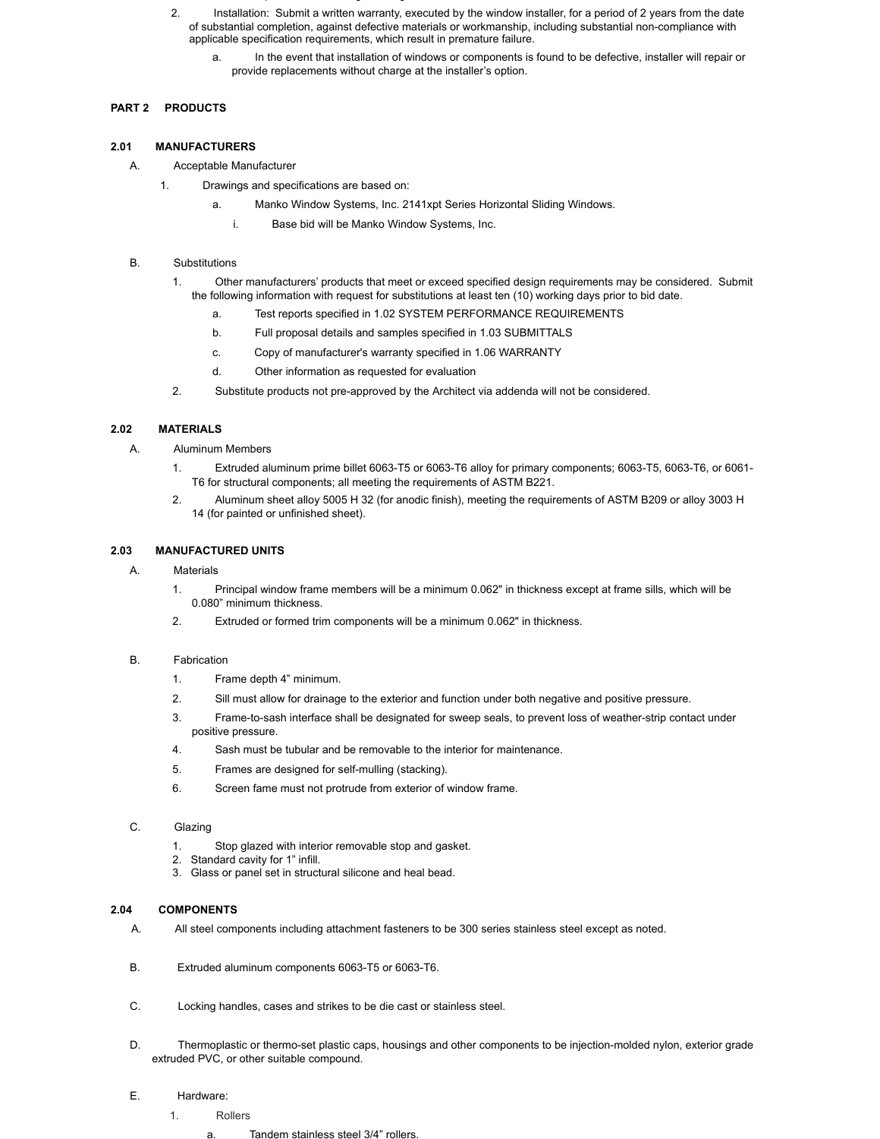- subsequent owners through its length.
- 2. Installation: Submit a written warranty, executed by the window installer, for a period of 2 years from the date of substantial completion, against defective materials or workmanship, including substantial non-compliance with applicable specification requirements, which result in premature failure.
	- In the event that installation of windows or components is found to be defective, installer will repair or provide replacements without charge at the installer's option.

# **PART 2 PRODUCTS**

## **2.01 MANUFACTURERS**

## A. Acceptable Manufacturer

- 1. Drawings and specifications are based on:
	- a. Manko Window Systems, Inc. 2141xpt Series Horizontal Sliding Windows.
		- i. Base bid will be Manko Window Systems, Inc.

## B. Substitutions

- 1. Other manufacturers' products that meet or exceed specified design requirements may be considered. Submit the following information with request for substitutions at least ten (10) working days prior to bid date.
	- a. Test reports specified in 1.02 SYSTEM PERFORMANCE REQUIREMENTS
	- b. Full proposal details and samples specified in 1.03 SUBMITTALS
	- c. Copy of manufacturer's warranty specified in 1.06 WARRANTY
	- d. Other information as requested for evaluation
- 2. Substitute products not pre-approved by the Architect via addenda will not be considered.

# **2.02 MATERIALS**

- A. Aluminum Members
	- 1. Extruded aluminum prime billet 6063-T5 or 6063-T6 alloy for primary components; 6063-T5, 6063-T6, or 6061- T6 for structural components; all meeting the requirements of ASTM B221.
	- 2. Aluminum sheet alloy 5005 H 32 (for anodic finish), meeting the requirements of ASTM B209 or alloy 3003 H 14 (for painted or unfinished sheet).

# **2.03 MANUFACTURED UNITS**

## A. Materials

- 1. Principal window frame members will be a minimum 0.062" in thickness except at frame sills, which will be 0.080" minimum thickness.
- 2. Extruded or formed trim components will be a minimum 0.062" in thickness.

# B. Fabrication

- 1. Frame depth 4" minimum.
- 2. Sill must allow for drainage to the exterior and function under both negative and positive pressure.
- 3. Frame-to-sash interface shall be designated for sweep seals, to prevent loss of weather-strip contact under positive pressure.
- 4. Sash must be tubular and be removable to the interior for maintenance.
- 5. Frames are designed for self-mulling (stacking).
- 6. Screen fame must not protrude from exterior of window frame.

# C. Glazing

- 1. Stop glazed with interior removable stop and gasket.
- 2. Standard cavity for 1" infill.
- 3. Glass or panel set in structural silicone and heal bead.

# **2.04 COMPONENTS**

- A. All steel components including attachment fasteners to be 300 series stainless steel except as noted.
- B. Extruded aluminum components 6063-T5 or 6063-T6.
- C. Locking handles, cases and strikes to be die cast or stainless steel.
- D. Thermoplastic or thermo-set plastic caps, housings and other components to be injection-molded nylon, exterior grade extruded PVC, or other suitable compound.

# E. Hardware:

- 1. Rollers
	- a. Tandem stainless steel 3/4" rollers.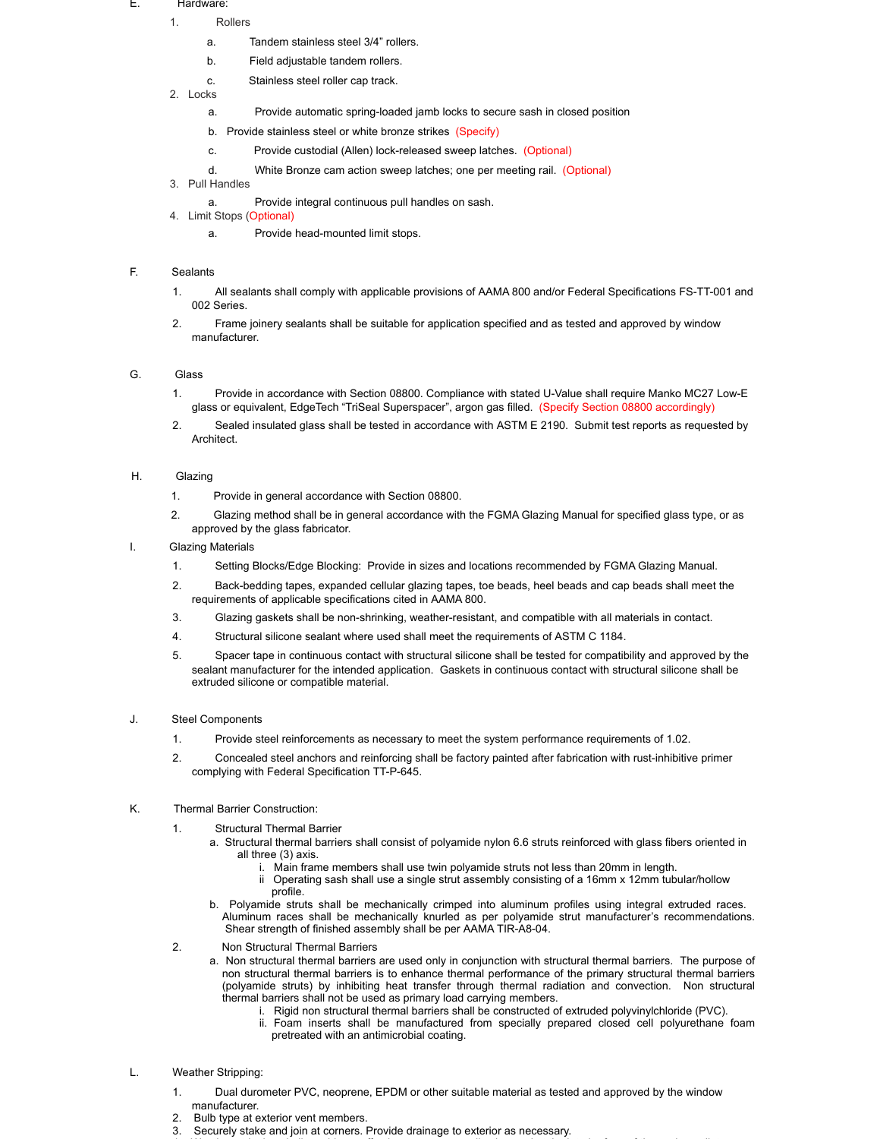#### E. Hardware:

- 1. Rollers
	- a. Tandem stainless steel 3/4" rollers.
	- b. Field adjustable tandem rollers.
	- c. Stainless steel roller cap track.
- 2. Locks
	- a. Provide automatic spring-loaded jamb locks to secure sash in closed position
	- b. Provide stainless steel or white bronze strikes (Specify)
	- c. Provide custodial (Allen) lock-released sweep latches. (Optional)
	- d. White Bronze cam action sweep latches; one per meeting rail. (Optional)
- 3. Pull Handles
	- a. Provide integral continuous pull handles on sash.
- 4. Limit Stops (Optional)
	- a. Provide head-mounted limit stops.

## F. Sealants

- 1. All sealants shall comply with applicable provisions of AAMA 800 and/or Federal Specifications FS-TT-001 and 002 Series.
- 2. Frame joinery sealants shall be suitable for application specified and as tested and approved by window manufacturer.

## G. Glass

- 1. Provide in accordance with Section 08800. Compliance with stated U-Value shall require Manko MC27 Low-E glass or equivalent, EdgeTech "TriSeal Superspacer", argon gas filled. (Specify Section 08800 accordingly)
- 2. Sealed insulated glass shall be tested in accordance with ASTM E 2190. Submit test reports as requested by Architect.

## H. Glazing

- 1. Provide in general accordance with Section 08800.
- 2. Glazing method shall be in general accordance with the FGMA Glazing Manual for specified glass type, or as approved by the glass fabricator.
- I. Glazing Materials
	- 1. Setting Blocks/Edge Blocking: Provide in sizes and locations recommended by FGMA Glazing Manual.
	- 2. Back-bedding tapes, expanded cellular glazing tapes, toe beads, heel beads and cap beads shall meet the requirements of applicable specifications cited in AAMA 800.
	- 3. Glazing gaskets shall be non-shrinking, weather-resistant, and compatible with all materials in contact.
	- 4. Structural silicone sealant where used shall meet the requirements of ASTM C 1184.
	- 5. Spacer tape in continuous contact with structural silicone shall be tested for compatibility and approved by the sealant manufacturer for the intended application. Gaskets in continuous contact with structural silicone shall be extruded silicone or compatible material.

## J. Steel Components

- 1. Provide steel reinforcements as necessary to meet the system performance requirements of 1.02.
- 2. Concealed steel anchors and reinforcing shall be factory painted after fabrication with rust-inhibitive primer complying with Federal Specification TT-P-645.

## K. Thermal Barrier Construction:

- 1. Structural Thermal Barrier
	- a. Structural thermal barriers shall consist of polyamide nylon 6.6 struts reinforced with glass fibers oriented in all three (3) axis.
		- Main frame members shall use twin polyamide struts not less than 20mm in length.
		- ii Operating sash shall use a single strut assembly consisting of a 16mm x 12mm tubular/hollow profile.
	- b. Polyamide struts shall be mechanically crimped into aluminum profiles using integral extruded races. Aluminum races shall be mechanically knurled as per polyamide strut manufacturer's recommendations. Shear strength of finished assembly shall be per AAMA TIR-A8-04.
- 2. Non Structural Thermal Barriers
	- a. Non structural thermal barriers are used only in conjunction with structural thermal barriers. The purpose of non structural thermal barriers is to enhance thermal performance of the primary structural thermal barriers (polyamide struts) by inhibiting heat transfer through thermal radiation and convection. Non structural thermal barriers shall not be used as primary load carrying members.
		- Rigid non structural thermal barriers shall be constructed of extruded polyvinylchloride (PVC).
		- ii. Foam inserts shall be manufactured from specially prepared closed cell polyurethane foam pretreated with an antimicrobial coating.

## L. Weather Stripping:

1. Dual durometer PVC, neoprene, EPDM or other suitable material as tested and approved by the window manufacturer.

4. Weather-stripping shall provide an effective pressure-equalization seal at the interior face of the sash ventilator.

- 2. Bulb type at exterior vent members.
- 3. Securely stake and join at corners. Provide drainage to exterior as necessary.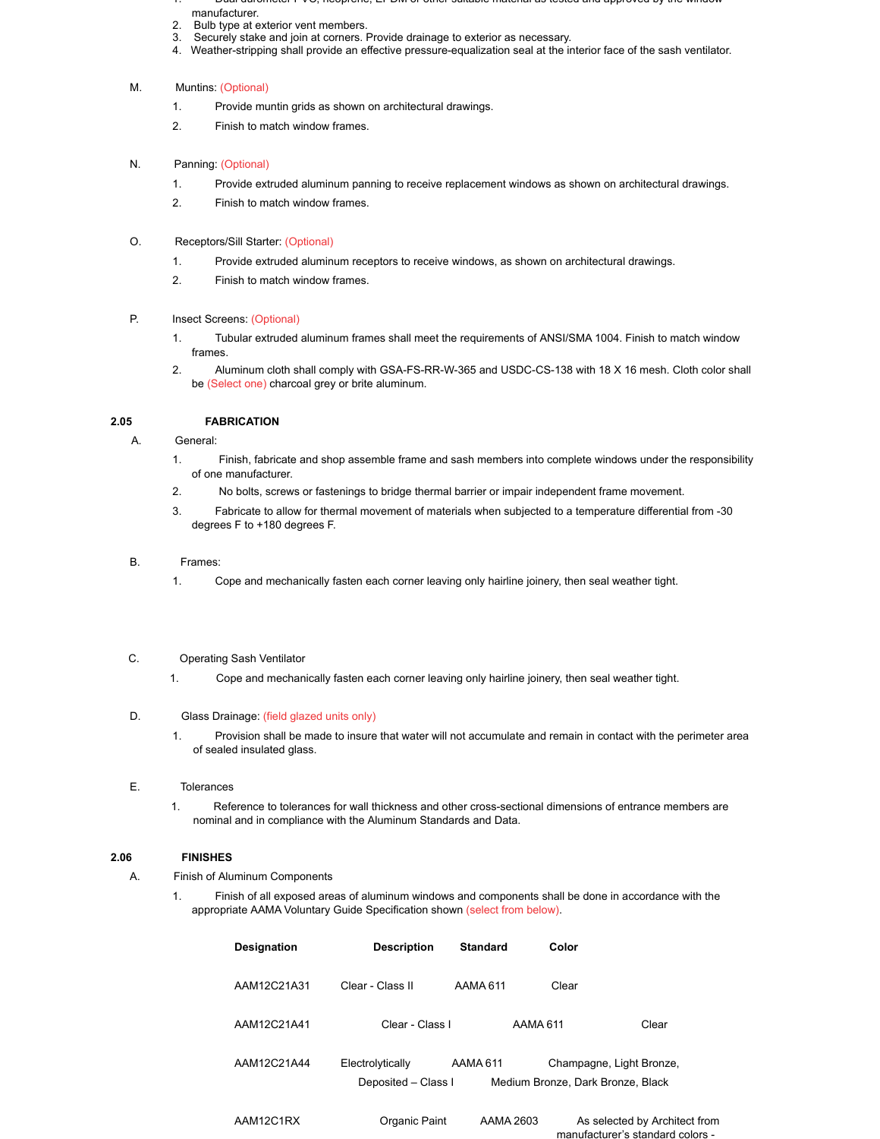- 1. Dual durometer PVC, neoprene, EPDM or other suitable material as tested and approved by the window manufacturer.
- 
- 2. Bulb type at exterior vent members.<br>3. Securely stake and join at corners. F Securely stake and join at corners. Provide drainage to exterior as necessary.
- 4. Weather-stripping shall provide an effective pressure-equalization seal at the interior face of the sash ventilator.

### M. Muntins: (Optional)

- 1. Provide muntin grids as shown on architectural drawings.
- 2. Finish to match window frames.

## N. Panning: (Optional)

- 1. Provide extruded aluminum panning to receive replacement windows as shown on architectural drawings.
- 2. Finish to match window frames.
- O. Receptors/Sill Starter: (Optional)
	- 1. Provide extruded aluminum receptors to receive windows, as shown on architectural drawings.
	- 2. Finish to match window frames.
- P. Insect Screens: (Optional)
	- 1. Tubular extruded aluminum frames shall meet the requirements of ANSI/SMA 1004. Finish to match window frames.
	- 2. Aluminum cloth shall comply with GSA-FS-RR-W-365 and USDC-CS-138 with 18 X 16 mesh. Cloth color shall be (Select one) charcoal grey or brite aluminum.

### **2.05 FABRICATION**

## A. General:

- 1. Finish, fabricate and shop assemble frame and sash members into complete windows under the responsibility of one manufacturer.
- 2. No bolts, screws or fastenings to bridge thermal barrier or impair independent frame movement.
- 3. Fabricate to allow for thermal movement of materials when subjected to a temperature differential from -30 degrees F to +180 degrees F.

### B. Frames:

1. Cope and mechanically fasten each corner leaving only hairline joinery, then seal weather tight.

## C. Operating Sash Ventilator

1. Cope and mechanically fasten each corner leaving only hairline joinery, then seal weather tight.

### D. Glass Drainage: (field glazed units only)

1. Provision shall be made to insure that water will not accumulate and remain in contact with the perimeter area of sealed insulated glass.

### E. Tolerances

1. Reference to tolerances for wall thickness and other cross-sectional dimensions of entrance members are nominal and in compliance with the Aluminum Standards and Data.

## **2.06 FINISHES**

### A. Finish of Aluminum Components

1. Finish of all exposed areas of aluminum windows and components shall be done in accordance with the appropriate AAMA Voluntary Guide Specification shown (select from below).

| <b>Designation</b> | <b>Description</b>                      | <b>Standard</b> | Color                                                         |                                                                   |
|--------------------|-----------------------------------------|-----------------|---------------------------------------------------------------|-------------------------------------------------------------------|
| AAM12C21A31        | Clear - Class II                        | AAMA 611        | Clear                                                         |                                                                   |
| AAM12C21A41        | Clear - Class I                         | AAMA 611        |                                                               | Clear                                                             |
| AAM12C21A44        | Electrolytically<br>Deposited - Class I | AAMA 611        | Champagne, Light Bronze,<br>Medium Bronze, Dark Bronze, Black |                                                                   |
| AAM12C1RX          | Organic Paint                           | AAMA 2603       |                                                               | As selected by Architect from<br>manufacturer's standard colors - |